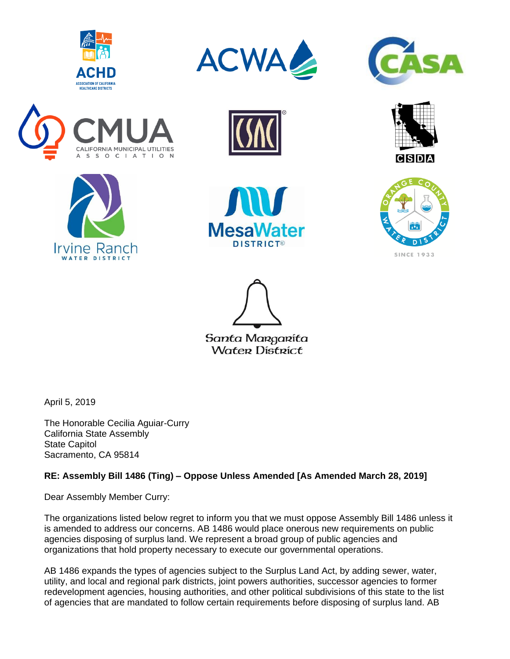













**DISTRICT®** 





Santa Margarita **Water District** 

April 5, 2019

The Honorable Cecilia Aguiar-Curry California State Assembly State Capitol Sacramento, CA 95814

## **RE: Assembly Bill 1486 (Ting) – Oppose Unless Amended [As Amended March 28, 2019]**

Dear Assembly Member Curry:

The organizations listed below regret to inform you that we must oppose Assembly Bill 1486 unless it is amended to address our concerns. AB 1486 would place onerous new requirements on public agencies disposing of surplus land. We represent a broad group of public agencies and organizations that hold property necessary to execute our governmental operations.

AB 1486 expands the types of agencies subject to the Surplus Land Act, by adding sewer, water, utility, and local and regional park districts, joint powers authorities, successor agencies to former redevelopment agencies, housing authorities, and other political subdivisions of this state to the list of agencies that are mandated to follow certain requirements before disposing of surplus land. AB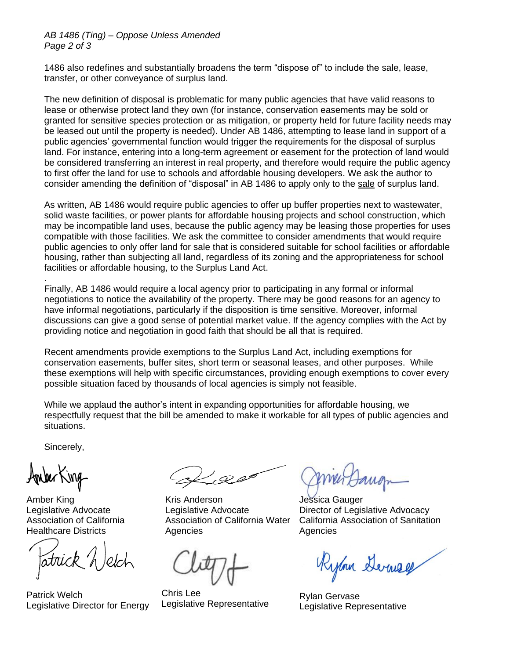## *AB 1486 (Ting) – Oppose Unless Amended Page 2 of 3*

1486 also redefines and substantially broadens the term "dispose of" to include the sale, lease, transfer, or other conveyance of surplus land.

The new definition of disposal is problematic for many public agencies that have valid reasons to lease or otherwise protect land they own (for instance, conservation easements may be sold or granted for sensitive species protection or as mitigation, or property held for future facility needs may be leased out until the property is needed). Under AB 1486, attempting to lease land in support of a public agencies' governmental function would trigger the requirements for the disposal of surplus land. For instance, entering into a long-term agreement or easement for the protection of land would be considered transferring an interest in real property, and therefore would require the public agency to first offer the land for use to schools and affordable housing developers. We ask the author to consider amending the definition of "disposal" in AB 1486 to apply only to the sale of surplus land.

As written, AB 1486 would require public agencies to offer up buffer properties next to wastewater, solid waste facilities, or power plants for affordable housing projects and school construction, which may be incompatible land uses, because the public agency may be leasing those properties for uses compatible with those facilities. We ask the committee to consider amendments that would require public agencies to only offer land for sale that is considered suitable for school facilities or affordable housing, rather than subjecting all land, regardless of its zoning and the appropriateness for school facilities or affordable housing, to the Surplus Land Act.

Finally, AB 1486 would require a local agency prior to participating in any formal or informal negotiations to notice the availability of the property. There may be good reasons for an agency to have informal negotiations, particularly if the disposition is time sensitive. Moreover, informal discussions can give a good sense of potential market value. If the agency complies with the Act by providing notice and negotiation in good faith that should be all that is required.

Recent amendments provide exemptions to the Surplus Land Act, including exemptions for conservation easements, buffer sites, short term or seasonal leases, and other purposes. While these exemptions will help with specific circumstances, providing enough exemptions to cover every possible situation faced by thousands of local agencies is simply not feasible.

While we applaud the author's intent in expanding opportunities for affordable housing, we respectfully request that the bill be amended to make it workable for all types of public agencies and situations.

Sincerely,

.

Amber King Legislative Advocate Association of California Healthcare Districts

Patrick Welch Legislative Director for Energy

Kris Anderson Legislative Advocate Association of California Water Agencies

Chris Lee Legislative Representative

Jessica Gauger Director of Legislative Advocacy California Association of Sanitation Agencies

Rylan Derney

Rylan Gervase Legislative Representative